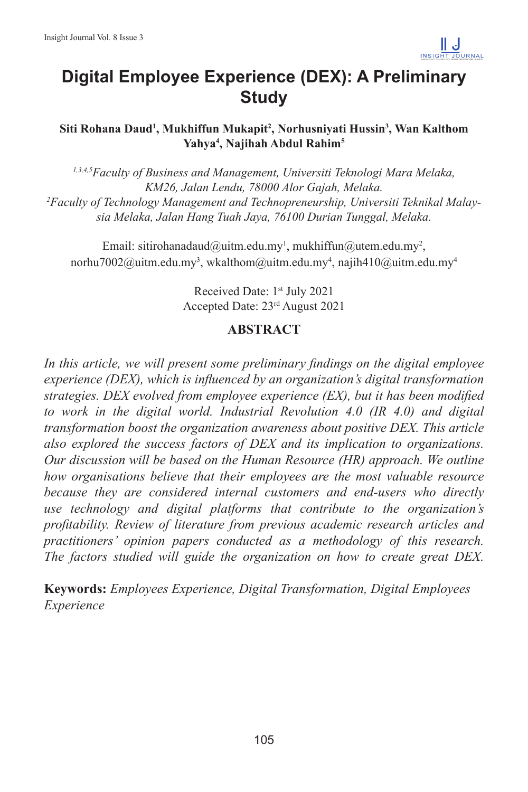

# **Digital Employee Experience (DEX): A Preliminary Study**

**Siti Rohana Daud1 , Mukhiffun Mukapit2 , Norhusniyati Hussin3 , Wan Kalthom Yahya4 , Najihah Abdul Rahim5**

*1,3,4,5Faculty of Business and Management, Universiti Teknologi Mara Melaka, KM26, Jalan Lendu, 78000 Alor Gajah, Melaka. 2 Faculty of Technology Management and Technopreneurship, Universiti Teknikal Malaysia Melaka, Jalan Hang Tuah Jaya, 76100 Durian Tunggal, Melaka.* 

Email: sitirohanadaud@uitm.edu.my<sup>1</sup>, mukhiffun@utem.edu.my<sup>2</sup>, norhu7002@uitm.edu.my<sup>3</sup>, wkalthom@uitm.edu.my<sup>4</sup>, najih410@uitm.edu.my<sup>4</sup>

> Received Date: 1<sup>st</sup> July 2021 Accepted Date: 23rd August 2021

#### **ABSTRACT**

*In this article, we will present some preliminary findings on the digital employee experience (DEX), which is influenced by an organization's digital transformation strategies. DEX evolved from employee experience (EX), but it has been modified to work in the digital world. Industrial Revolution 4.0 (IR 4.0) and digital transformation boost the organization awareness about positive DEX. This article also explored the success factors of DEX and its implication to organizations. Our discussion will be based on the Human Resource (HR) approach. We outline how organisations believe that their employees are the most valuable resource because they are considered internal customers and end-users who directly use technology and digital platforms that contribute to the organization's profitability. Review of literature from previous academic research articles and practitioners' opinion papers conducted as a methodology of this research. The factors studied will guide the organization on how to create great DEX.* 

**Keywords:** *Employees Experience, Digital Transformation, Digital Employees Experience*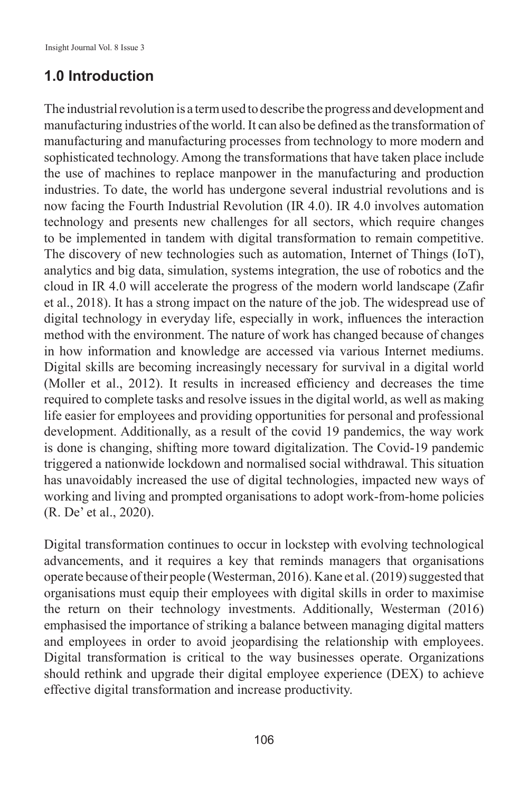# **1.0 Introduction**

The industrial revolution is a term used to describe the progress and development and manufacturing industries of the world. It can also be defined as the transformation of manufacturing and manufacturing processes from technology to more modern and sophisticated technology. Among the transformations that have taken place include the use of machines to replace manpower in the manufacturing and production industries. To date, the world has undergone several industrial revolutions and is now facing the Fourth Industrial Revolution (IR 4.0). IR 4.0 involves automation technology and presents new challenges for all sectors, which require changes to be implemented in tandem with digital transformation to remain competitive. The discovery of new technologies such as automation, Internet of Things (IoT), analytics and big data, simulation, systems integration, the use of robotics and the cloud in IR 4.0 will accelerate the progress of the modern world landscape (Zafir et al., 2018). It has a strong impact on the nature of the job. The widespread use of digital technology in everyday life, especially in work, influences the interaction method with the environment. The nature of work has changed because of changes in how information and knowledge are accessed via various Internet mediums. Digital skills are becoming increasingly necessary for survival in a digital world (Moller et al., 2012). It results in increased efficiency and decreases the time required to complete tasks and resolve issues in the digital world, as well as making life easier for employees and providing opportunities for personal and professional development. Additionally, as a result of the covid 19 pandemics, the way work is done is changing, shifting more toward digitalization. The Covid-19 pandemic triggered a nationwide lockdown and normalised social withdrawal. This situation has unavoidably increased the use of digital technologies, impacted new ways of working and living and prompted organisations to adopt work-from-home policies (R. De' et al., 2020).

Digital transformation continues to occur in lockstep with evolving technological advancements, and it requires a key that reminds managers that organisations operate because of their people (Westerman, 2016). Kane et al. (2019) suggested that organisations must equip their employees with digital skills in order to maximise the return on their technology investments. Additionally, Westerman (2016) emphasised the importance of striking a balance between managing digital matters and employees in order to avoid jeopardising the relationship with employees. Digital transformation is critical to the way businesses operate. Organizations should rethink and upgrade their digital employee experience (DEX) to achieve effective digital transformation and increase productivity.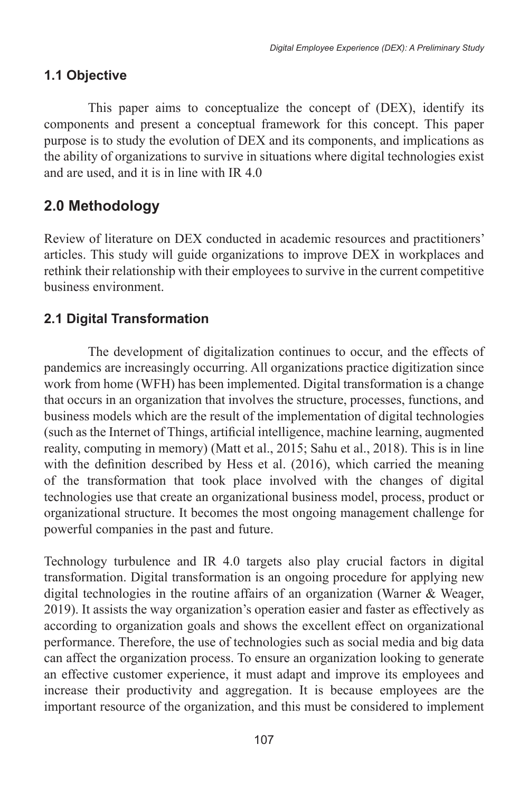## **1.1 Objective**

This paper aims to conceptualize the concept of (DEX), identify its components and present a conceptual framework for this concept. This paper purpose is to study the evolution of DEX and its components, and implications as the ability of organizations to survive in situations where digital technologies exist and are used, and it is in line with IR 4.0

# **2.0 Methodology**

Review of literature on DEX conducted in academic resources and practitioners' articles. This study will guide organizations to improve DEX in workplaces and rethink their relationship with their employees to survive in the current competitive business environment.

# **2.1 Digital Transformation**

The development of digitalization continues to occur, and the effects of pandemics are increasingly occurring. All organizations practice digitization since work from home (WFH) has been implemented. Digital transformation is a change that occurs in an organization that involves the structure, processes, functions, and business models which are the result of the implementation of digital technologies (such as the Internet of Things, artificial intelligence, machine learning, augmented reality, computing in memory) (Matt et al., 2015; Sahu et al., 2018). This is in line with the definition described by Hess et al. (2016), which carried the meaning of the transformation that took place involved with the changes of digital technologies use that create an organizational business model, process, product or organizational structure. It becomes the most ongoing management challenge for powerful companies in the past and future.

Technology turbulence and IR 4.0 targets also play crucial factors in digital transformation. Digital transformation is an ongoing procedure for applying new digital technologies in the routine affairs of an organization (Warner & Weager, 2019). It assists the way organization's operation easier and faster as effectively as according to organization goals and shows the excellent effect on organizational performance. Therefore, the use of technologies such as social media and big data can affect the organization process. To ensure an organization looking to generate an effective customer experience, it must adapt and improve its employees and increase their productivity and aggregation. It is because employees are the important resource of the organization, and this must be considered to implement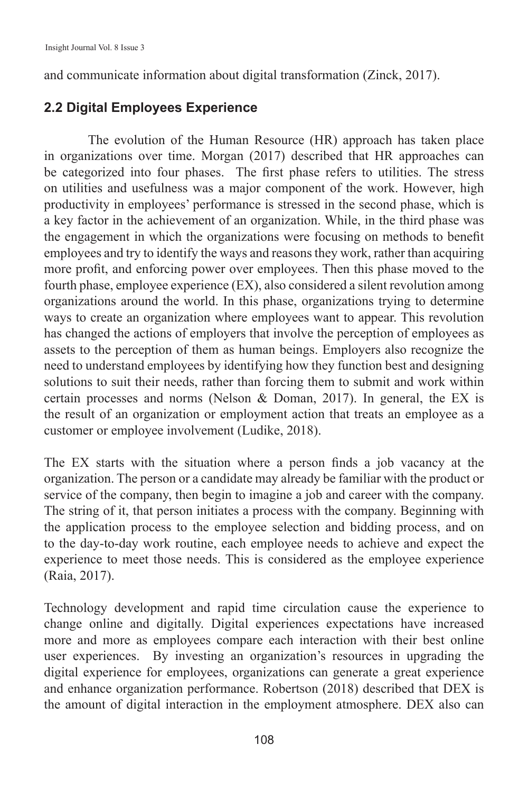and communicate information about digital transformation (Zinck, 2017).

#### **2.2 Digital Employees Experience**

The evolution of the Human Resource (HR) approach has taken place in organizations over time. Morgan (2017) described that HR approaches can be categorized into four phases. The first phase refers to utilities. The stress on utilities and usefulness was a major component of the work. However, high productivity in employees' performance is stressed in the second phase, which is a key factor in the achievement of an organization. While, in the third phase was the engagement in which the organizations were focusing on methods to benefit employees and try to identify the ways and reasons they work, rather than acquiring more profit, and enforcing power over employees. Then this phase moved to the fourth phase, employee experience (EX), also considered a silent revolution among organizations around the world. In this phase, organizations trying to determine ways to create an organization where employees want to appear. This revolution has changed the actions of employers that involve the perception of employees as assets to the perception of them as human beings. Employers also recognize the need to understand employees by identifying how they function best and designing solutions to suit their needs, rather than forcing them to submit and work within certain processes and norms (Nelson & Doman, 2017). In general, the EX is the result of an organization or employment action that treats an employee as a customer or employee involvement (Ludike, 2018).

The EX starts with the situation where a person finds a job vacancy at the organization. The person or a candidate may already be familiar with the product or service of the company, then begin to imagine a job and career with the company. The string of it, that person initiates a process with the company. Beginning with the application process to the employee selection and bidding process, and on to the day-to-day work routine, each employee needs to achieve and expect the experience to meet those needs. This is considered as the employee experience (Raia, 2017).

Technology development and rapid time circulation cause the experience to change online and digitally. Digital experiences expectations have increased more and more as employees compare each interaction with their best online user experiences. By investing an organization's resources in upgrading the digital experience for employees, organizations can generate a great experience and enhance organization performance. Robertson (2018) described that DEX is the amount of digital interaction in the employment atmosphere. DEX also can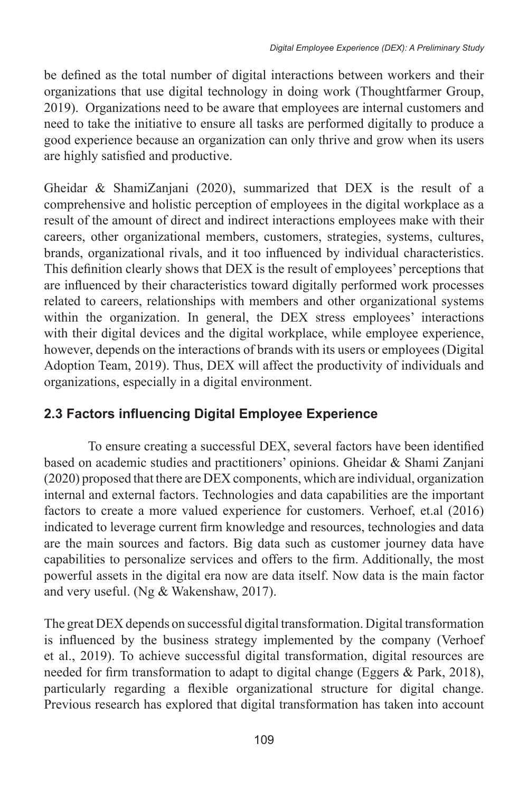be defined as the total number of digital interactions between workers and their organizations that use digital technology in doing work (Thoughtfarmer Group, 2019). Organizations need to be aware that employees are internal customers and need to take the initiative to ensure all tasks are performed digitally to produce a good experience because an organization can only thrive and grow when its users are highly satisfied and productive.

Gheidar & ShamiZanjani (2020), summarized that DEX is the result of a comprehensive and holistic perception of employees in the digital workplace as a result of the amount of direct and indirect interactions employees make with their careers, other organizational members, customers, strategies, systems, cultures, brands, organizational rivals, and it too influenced by individual characteristics. This definition clearly shows that DEX is the result of employees' perceptions that are influenced by their characteristics toward digitally performed work processes related to careers, relationships with members and other organizational systems within the organization. In general, the DEX stress employees' interactions with their digital devices and the digital workplace, while employee experience, however, depends on the interactions of brands with its users or employees (Digital Adoption Team, 2019). Thus, DEX will affect the productivity of individuals and organizations, especially in a digital environment.

### **2.3 Factors influencing Digital Employee Experience**

To ensure creating a successful DEX, several factors have been identified based on academic studies and practitioners' opinions. Gheidar & Shami Zanjani (2020) proposed that there are DEX components, which are individual, organization internal and external factors. Technologies and data capabilities are the important factors to create a more valued experience for customers. Verhoef, et.al (2016) indicated to leverage current firm knowledge and resources, technologies and data are the main sources and factors. Big data such as customer journey data have capabilities to personalize services and offers to the firm. Additionally, the most powerful assets in the digital era now are data itself. Now data is the main factor and very useful. (Ng & Wakenshaw, 2017).

The great DEX depends on successful digital transformation. Digital transformation is influenced by the business strategy implemented by the company (Verhoef et al., 2019). To achieve successful digital transformation, digital resources are needed for firm transformation to adapt to digital change (Eggers & Park, 2018), particularly regarding a flexible organizational structure for digital change. Previous research has explored that digital transformation has taken into account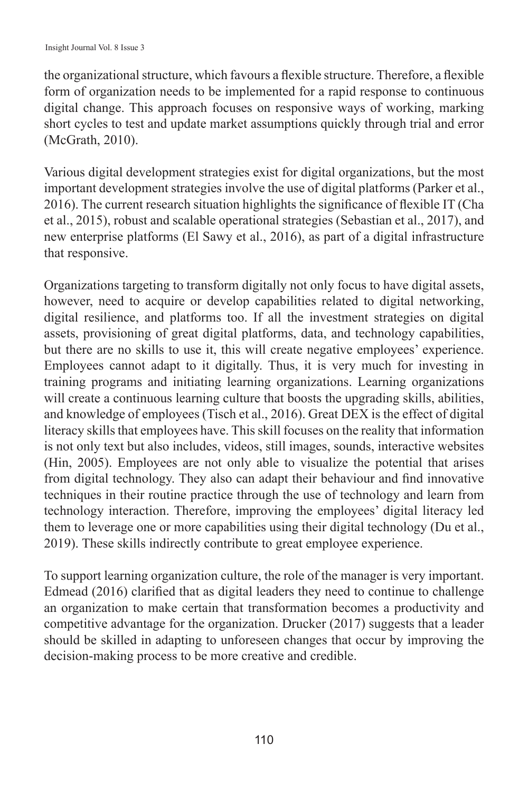the organizational structure, which favours a flexible structure. Therefore, a flexible form of organization needs to be implemented for a rapid response to continuous digital change. This approach focuses on responsive ways of working, marking short cycles to test and update market assumptions quickly through trial and error (McGrath, 2010).

Various digital development strategies exist for digital organizations, but the most important development strategies involve the use of digital platforms (Parker et al., 2016). The current research situation highlights the significance of flexible IT (Cha et al., 2015), robust and scalable operational strategies (Sebastian et al., 2017), and new enterprise platforms (El Sawy et al., 2016), as part of a digital infrastructure that responsive.

Organizations targeting to transform digitally not only focus to have digital assets, however, need to acquire or develop capabilities related to digital networking, digital resilience, and platforms too. If all the investment strategies on digital assets, provisioning of great digital platforms, data, and technology capabilities, but there are no skills to use it, this will create negative employees' experience. Employees cannot adapt to it digitally. Thus, it is very much for investing in training programs and initiating learning organizations. Learning organizations will create a continuous learning culture that boosts the upgrading skills, abilities, and knowledge of employees (Tisch et al., 2016). Great DEX is the effect of digital literacy skills that employees have. This skill focuses on the reality that information is not only text but also includes, videos, still images, sounds, interactive websites (Hin, 2005). Employees are not only able to visualize the potential that arises from digital technology. They also can adapt their behaviour and find innovative techniques in their routine practice through the use of technology and learn from technology interaction. Therefore, improving the employees' digital literacy led them to leverage one or more capabilities using their digital technology (Du et al., 2019). These skills indirectly contribute to great employee experience.

To support learning organization culture, the role of the manager is very important. Edmead (2016) clarified that as digital leaders they need to continue to challenge an organization to make certain that transformation becomes a productivity and competitive advantage for the organization. Drucker (2017) suggests that a leader should be skilled in adapting to unforeseen changes that occur by improving the decision-making process to be more creative and credible.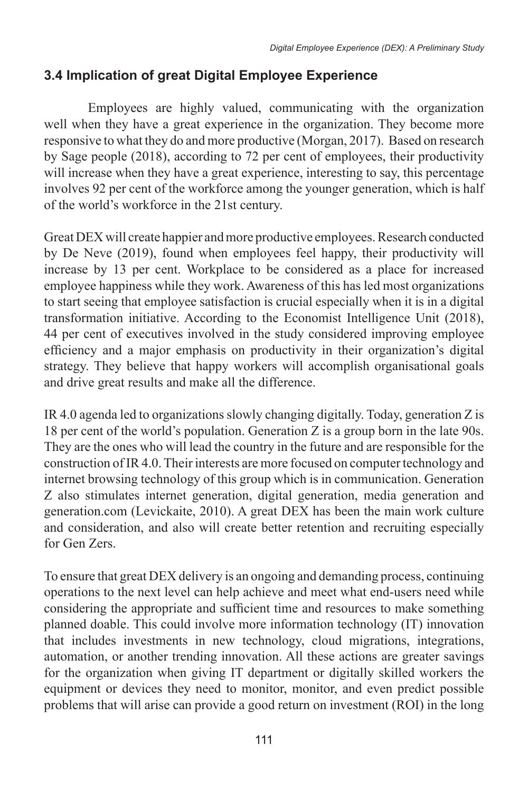# **3.4 Implication of great Digital Employee Experience**

Employees are highly valued, communicating with the organization well when they have a great experience in the organization. They become more responsive to what they do and more productive (Morgan, 2017). Based on research by Sage people (2018), according to 72 per cent of employees, their productivity will increase when they have a great experience, interesting to say, this percentage involves 92 per cent of the workforce among the younger generation, which is half of the world's workforce in the 21st century.

Great DEX will create happier and more productive employees. Research conducted by De Neve (2019), found when employees feel happy, their productivity will increase by 13 per cent. Workplace to be considered as a place for increased employee happiness while they work. Awareness of this has led most organizations to start seeing that employee satisfaction is crucial especially when it is in a digital transformation initiative. According to the Economist Intelligence Unit (2018), 44 per cent of executives involved in the study considered improving employee efficiency and a major emphasis on productivity in their organization's digital strategy. They believe that happy workers will accomplish organisational goals and drive great results and make all the difference.

IR 4.0 agenda led to organizations slowly changing digitally. Today, generation Z is 18 per cent of the world's population. Generation Z is a group born in the late 90s. They are the ones who will lead the country in the future and are responsible for the construction of IR 4.0. Their interests are more focused on computer technology and internet browsing technology of this group which is in communication. Generation Z also stimulates internet generation, digital generation, media generation and generation.com (Levickaite, 2010). A great DEX has been the main work culture and consideration, and also will create better retention and recruiting especially for Gen Zers.

To ensure that great DEX delivery is an ongoing and demanding process, continuing operations to the next level can help achieve and meet what end-users need while considering the appropriate and sufficient time and resources to make something planned doable. This could involve more information technology (IT) innovation that includes investments in new technology, cloud migrations, integrations, automation, or another trending innovation. All these actions are greater savings for the organization when giving IT department or digitally skilled workers the equipment or devices they need to monitor, monitor, and even predict possible problems that will arise can provide a good return on investment (ROI) in the long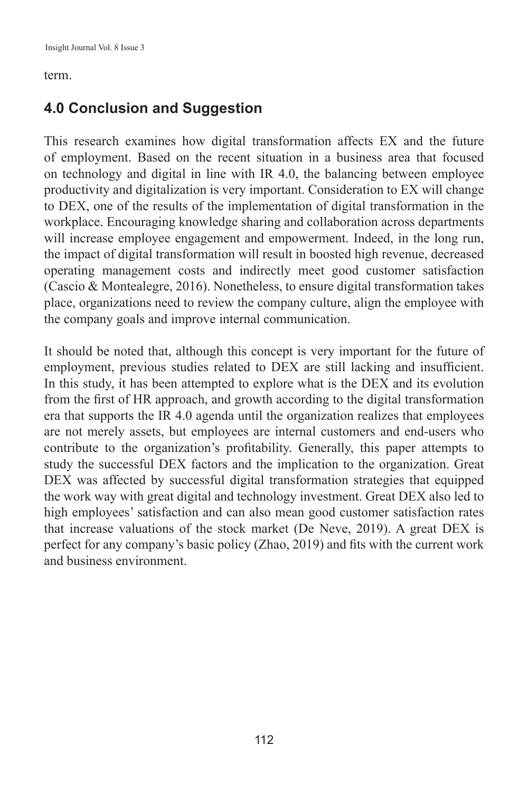#### term.

# **4.0 Conclusion and Suggestion**

This research examines how digital transformation affects EX and the future of employment. Based on the recent situation in a business area that focused on technology and digital in line with IR 4.0, the balancing between employee productivity and digitalization is very important. Consideration to EX will change to DEX, one of the results of the implementation of digital transformation in the workplace. Encouraging knowledge sharing and collaboration across departments will increase employee engagement and empowerment. Indeed, in the long run, the impact of digital transformation will result in boosted high revenue, decreased operating management costs and indirectly meet good customer satisfaction (Cascio & Montealegre, 2016). Nonetheless, to ensure digital transformation takes place, organizations need to review the company culture, align the employee with the company goals and improve internal communication.

It should be noted that, although this concept is very important for the future of employment, previous studies related to DEX are still lacking and insufficient. In this study, it has been attempted to explore what is the DEX and its evolution from the first of HR approach, and growth according to the digital transformation era that supports the IR 4.0 agenda until the organization realizes that employees are not merely assets, but employees are internal customers and end-users who contribute to the organization's profitability. Generally, this paper attempts to study the successful DEX factors and the implication to the organization. Great DEX was affected by successful digital transformation strategies that equipped the work way with great digital and technology investment. Great DEX also led to high employees' satisfaction and can also mean good customer satisfaction rates that increase valuations of the stock market (De Neve, 2019). A great DEX is perfect for any company's basic policy (Zhao, 2019) and fits with the current work and business environment.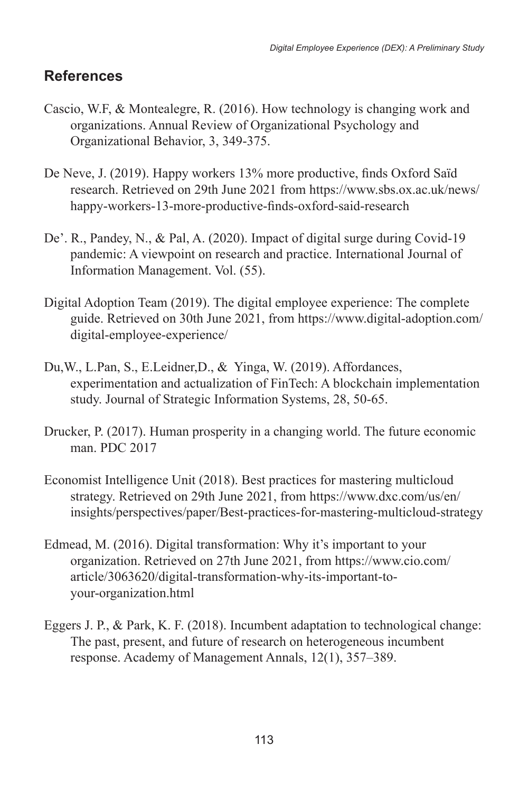# **References**

- Cascio, W.F, & Montealegre, R. (2016). How technology is changing work and organizations. Annual Review of Organizational Psychology and Organizational Behavior, 3, 349-375.
- De Neve, J. (2019). Happy workers 13% more productive, finds Oxford Saïd research. Retrieved on 29th June 2021 from https://www.sbs.ox.ac.uk/news/ happy-workers-13-more-productive-finds-oxford-said-research
- De'. R., Pandey, N., & Pal, A. (2020). Impact of digital surge during Covid-19 pandemic: A viewpoint on research and practice. International Journal of Information Management. Vol. (55).
- Digital Adoption Team (2019). The digital employee experience: The complete guide. Retrieved on 30th June 2021, from https://www.digital-adoption.com/ digital-employee-experience/
- Du,W., L.Pan, S., E.Leidner,D., & Yinga, W. (2019). Affordances, experimentation and actualization of FinTech: A blockchain implementation study. Journal of Strategic Information Systems, 28, 50-65.
- Drucker, P. (2017). Human prosperity in a changing world. The future economic man. PDC 2017
- Economist Intelligence Unit (2018). Best practices for mastering multicloud strategy. Retrieved on 29th June 2021, from https://www.dxc.com/us/en/ insights/perspectives/paper/Best-practices-for-mastering-multicloud-strategy
- Edmead, M. (2016). Digital transformation: Why it's important to your organization. Retrieved on 27th June 2021, from https://www.cio.com/ article/3063620/digital-transformation-why-its-important-toyour-organization.html
- Eggers J. P., & Park, K. F. (2018). Incumbent adaptation to technological change: The past, present, and future of research on heterogeneous incumbent response. Academy of Management Annals, 12(1), 357–389.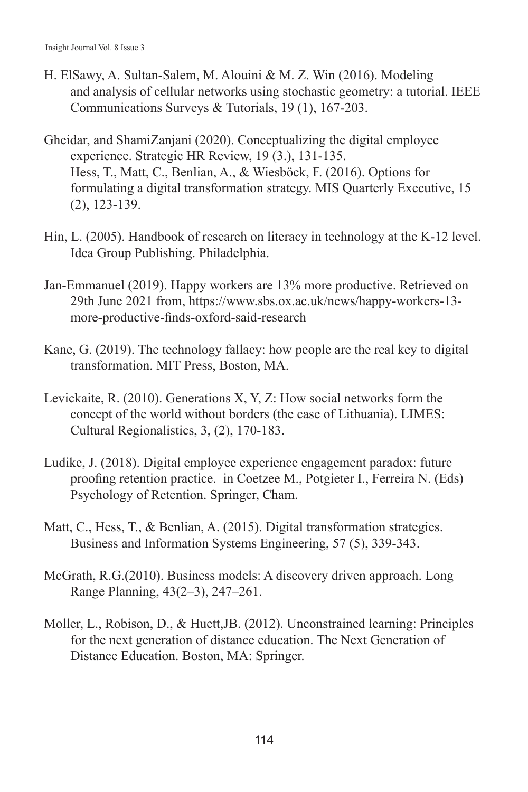- H. ElSawy, A. Sultan-Salem, M. Alouini & M. Z. Win (2016). Modeling and analysis of cellular networks using stochastic geometry: a tutorial. IEEE Communications Surveys & Tutorials, 19 (1), 167-203.
- Gheidar, and ShamiZanjani (2020). Conceptualizing the digital employee experience. Strategic HR Review, 19 (3.), 131-135. Hess, T., Matt, C., Benlian, A., & Wiesböck, F. (2016). Options for formulating a digital transformation strategy. MIS Quarterly Executive, 15 (2), 123-139.
- Hin, L. (2005). Handbook of research on literacy in technology at the K-12 level. Idea Group Publishing. Philadelphia.
- Jan-Emmanuel (2019). Happy workers are 13% more productive. Retrieved on 29th June 2021 from, https://www.sbs.ox.ac.uk/news/happy-workers-13 more-productive-finds-oxford-said-research
- Kane, G. (2019). The technology fallacy: how people are the real key to digital transformation. MIT Press, Boston, MA.
- Levickaite, R. (2010). Generations X, Y, Z: How social networks form the concept of the world without borders (the case of Lithuania). LIMES: Cultural Regionalistics, 3, (2), 170-183.
- Ludike, J. (2018). Digital employee experience engagement paradox: future proofing retention practice. in Coetzee M., Potgieter I., Ferreira N. (Eds) Psychology of Retention. Springer, Cham.
- Matt, C., Hess, T., & Benlian, A. (2015). Digital transformation strategies. Business and Information Systems Engineering, 57 (5), 339-343.
- McGrath, R.G.(2010). Business models: A discovery driven approach. Long Range Planning, 43(2–3), 247–261.
- Moller, L., Robison, D., & Huett,JB. (2012). Unconstrained learning: Principles for the next generation of distance education. The Next Generation of Distance Education. Boston, MA: Springer.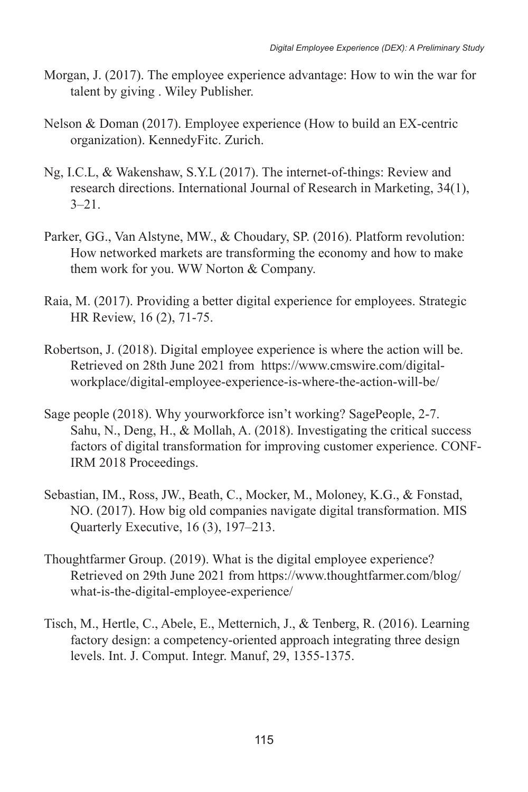- Morgan, J. (2017). The employee experience advantage: How to win the war for talent by giving . Wiley Publisher.
- Nelson & Doman (2017). Employee experience (How to build an EX-centric organization). KennedyFitc. Zurich.
- Ng, I.C.L, & Wakenshaw, S.Y.L (2017). The internet-of-things: Review and research directions. International Journal of Research in Marketing, 34(1),  $3 - 21$ .
- Parker, GG., Van Alstyne, MW., & Choudary, SP. (2016). Platform revolution: How networked markets are transforming the economy and how to make them work for you. WW Norton & Company.
- Raia, M. (2017). Providing a better digital experience for employees. Strategic HR Review, 16 (2), 71-75.
- Robertson, J. (2018). Digital employee experience is where the action will be. Retrieved on 28th June 2021 from https://www.cmswire.com/digitalworkplace/digital-employee-experience-is-where-the-action-will-be/
- Sage people (2018). Why yourworkforce isn't working? SagePeople, 2-7. Sahu, N., Deng, H., & Mollah, A. (2018). Investigating the critical success factors of digital transformation for improving customer experience. CONF-IRM 2018 Proceedings.
- Sebastian, IM., Ross, JW., Beath, C., Mocker, M., Moloney, K.G., & Fonstad, NO. (2017). How big old companies navigate digital transformation. MIS Quarterly Executive, 16 (3), 197–213.
- Thoughtfarmer Group. (2019). What is the digital employee experience? Retrieved on 29th June 2021 from https://www.thoughtfarmer.com/blog/ what-is-the-digital-employee-experience/
- Tisch, M., Hertle, C., Abele, E., Metternich, J., & Tenberg, R. (2016). Learning factory design: a competency-oriented approach integrating three design levels. Int. J. Comput. Integr. Manuf, 29, 1355-1375.